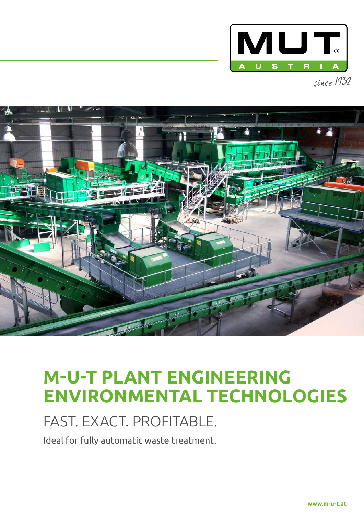



# **M-U-T PLANT ENGINEERING ENVIRONMENTAL TECHNOLOGIES**

### FAST. EXACT. PROFITABLE.

Ideal for fully automatic waste treatment.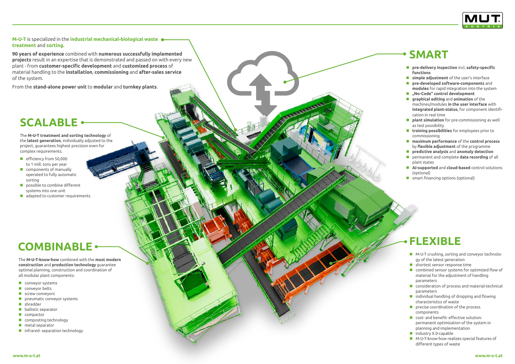**M-U-T** is specialized in the **industrial mechanical-biological waste treatment** and **sorting.** 

**90 years of experience** combined with **numerous successfully implemented projects** result in an expertise that is demonstrated and passed on with every new plant - from **customer-specific development** and **customized process** of material handling to the **installation**, **commissioning** and **after-sales service** of the system.

From the **stand-alone power unit** to **modular** and **turnkey plants** .

The **M-U-T treatment and sorting technology** of the **latest generation**, individually adjusted to the project, guarantees highest precision even for complex requirements.

- efficiency from 50,000 to 1 mill. tons per year
- **Components of manually** operated to fully automatic sorting
- possible to combine different systems into one unit
- adapted to customer requirements

- M-U-T crushing, sorting and conveyor technology of the latest generation
- **Shortest sensor response time**
- **E** combined sensor systems for optimized flow of material for the adjustment of handling parameters
- **E** consideration of process and material-technical parameters
- $\blacksquare$  individual handling of dropping and flowing characteristics of waste
- $\blacksquare$  precise coordination of the process components
- **Cost- and benefit- effective solution:** permanent optimization of the system in planning and implementation
- **Industry X.0-capable**
- M-U-T-know-how realizes special features of different types of waste
- **pre-delivery inspection** incl. **safety-specific functions**
- **simple adjustment** of the user's interface
- **pre-developed software-components** and **modules** for rapid integration into the system
- **"No-Code" control development**
- **graphical editing** and **animation** of the machines/modules **in the user interface** with **integrated plant-status**, for component identifi cation in real time
- **plant simulation** for pre-commissioning as well as test possibility
- **training possibilities** for employees prior to commissioning
- **maximum performance** of the **control process**  by **flexible adjustment** of the programme
- **predictive analysis** and **anomaly detection**
- permanent and complete **data recording** of all plant states
- **AI-supported** and **cloud-based** control solutions (optional)
- **E** smart financing options (optional)

The **M-U-T-know-how** combined with the **most modern construction** and **production technology** guarantee optimal planning, construction and coordination of all modular plant components:

- **Conveyor systems**
- **E** conveyor belts
- screw conveyors
- **P** pneumatic conveyor systems
- shredder
- **ballistic separator**
- **n** compactor
- $\Box$  composting technology
- $\blacksquare$  metal separator
- $\blacksquare$  infrared- separation technology

# **COMBINABLE**

## **SCALABLE**

### **FLEXIBLE**

### **SMART**

Automatic